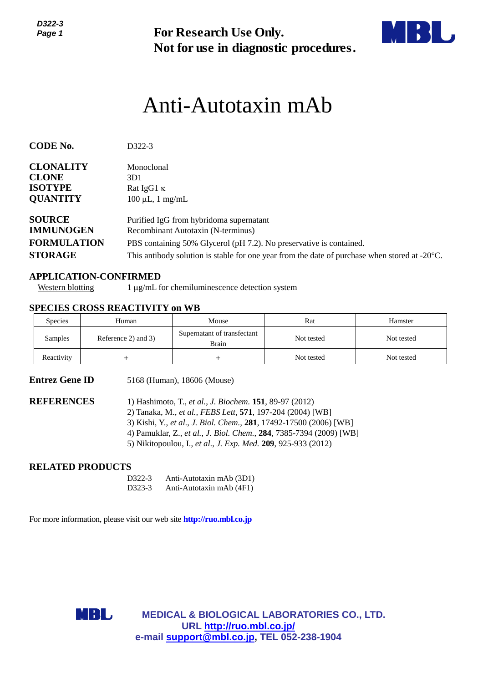

# Anti-Autotaxin mAb

| Page 1                                                                                                          |                                                                             | <b>For Research Use Only.</b><br>Not for use in diagnostic procedures.                                                                                                                                                                                                                                                              |            |            |  |  |  |
|-----------------------------------------------------------------------------------------------------------------|-----------------------------------------------------------------------------|-------------------------------------------------------------------------------------------------------------------------------------------------------------------------------------------------------------------------------------------------------------------------------------------------------------------------------------|------------|------------|--|--|--|
|                                                                                                                 |                                                                             | Anti-Autotaxin mAb                                                                                                                                                                                                                                                                                                                  |            |            |  |  |  |
| <b>CODE No.</b>                                                                                                 | D322-3                                                                      |                                                                                                                                                                                                                                                                                                                                     |            |            |  |  |  |
| <b>CLONALITY</b>                                                                                                | Monoclonal                                                                  |                                                                                                                                                                                                                                                                                                                                     |            |            |  |  |  |
| <b>CLONE</b><br><b>ISOTYPE</b>                                                                                  | 3D1<br>Rat IgG1 K                                                           |                                                                                                                                                                                                                                                                                                                                     |            |            |  |  |  |
| <b>QUANTITY</b>                                                                                                 | $100 \mu L$ , 1 mg/mL                                                       |                                                                                                                                                                                                                                                                                                                                     |            |            |  |  |  |
| <b>SOURCE</b><br><b>IMMUNOGEN</b>                                                                               |                                                                             | Purified IgG from hybridoma supernatant<br>Recombinant Autotaxin (N-terminus)                                                                                                                                                                                                                                                       |            |            |  |  |  |
| <b>FORMULATION</b><br>PBS containing 50% Glycerol (pH 7.2). No preservative is contained.                       |                                                                             |                                                                                                                                                                                                                                                                                                                                     |            |            |  |  |  |
| <b>STORAGE</b><br>This antibody solution is stable for one year from the date of purchase when stored at -20°C. |                                                                             |                                                                                                                                                                                                                                                                                                                                     |            |            |  |  |  |
| <b>Western blotting</b>                                                                                         | <b>APPLICATION-CONFIRMED</b>                                                | 1 μg/mL for chemiluminescence detection system                                                                                                                                                                                                                                                                                      |            |            |  |  |  |
|                                                                                                                 | <b>SPECIES CROSS REACTIVITY on WB</b>                                       |                                                                                                                                                                                                                                                                                                                                     |            |            |  |  |  |
| Species                                                                                                         | Human                                                                       | Mouse                                                                                                                                                                                                                                                                                                                               | Rat        | Hamster    |  |  |  |
| Samples                                                                                                         | Reference 2) and 3)                                                         | Supernatant of transfectant<br><b>Brain</b>                                                                                                                                                                                                                                                                                         | Not tested | Not tested |  |  |  |
| Reactivity                                                                                                      | $+$                                                                         | $^{+}$                                                                                                                                                                                                                                                                                                                              | Not tested | Not tested |  |  |  |
| <b>Entrez Gene ID</b>                                                                                           |                                                                             | 5168 (Human), 18606 (Mouse)                                                                                                                                                                                                                                                                                                         |            |            |  |  |  |
| <b>REFERENCES</b>                                                                                               |                                                                             | 1) Hashimoto, T., et al., J. Biochem. 151, 89-97 (2012)<br>2) Tanaka, M., et al., FEBS Lett, 571, 197-204 (2004) [WB]<br>3) Kishi, Y., et al., J. Biol. Chem., 281, 17492-17500 (2006) [WB]<br>4) Pamuklar, Z., et al., J. Biol. Chem., 284, 7385-7394 (2009) [WB]<br>5) Nikitopoulou, I., et al., J. Exp. Med. 209, 925-933 (2012) |            |            |  |  |  |
| <b>RELATED PRODUCTS</b>                                                                                         |                                                                             |                                                                                                                                                                                                                                                                                                                                     |            |            |  |  |  |
|                                                                                                                 | D322-3<br>D323-3                                                            | Anti-Autotaxin mAb (3D1)<br>Anti-Autotaxin mAb (4F1)                                                                                                                                                                                                                                                                                |            |            |  |  |  |
|                                                                                                                 | For more information, please visit our web site <b>http://ruo.mbl.co.jp</b> |                                                                                                                                                                                                                                                                                                                                     |            |            |  |  |  |
|                                                                                                                 |                                                                             |                                                                                                                                                                                                                                                                                                                                     |            |            |  |  |  |
|                                                                                                                 | MBL                                                                         | <b>MEDICAL &amp; BIOLOGICAL LABORATORIES CO., LTD.</b>                                                                                                                                                                                                                                                                              |            |            |  |  |  |
|                                                                                                                 |                                                                             | URL http://ruo.mbl.co.jp/<br>e-mail support@mbl.co.jp, TEL 052-238-1904                                                                                                                                                                                                                                                             |            |            |  |  |  |

### **APPLICATION-CONFIRMED**

### **SPECIES CROSS REACTIVITY on WB**

| <b>Species</b> | Human               | Mouse                                | Rat        | Hamster    |
|----------------|---------------------|--------------------------------------|------------|------------|
| Samples        | Reference 2) and 3) | Supernatant of transfectant<br>Brain | Not tested | Not tested |
| Reactivity     |                     |                                      | Not tested | Not tested |

- 2) Tanaka, M., *et al., FEBS Lett,* **571**, 197-204 (2004) [WB]
- 3) Kishi, Y., *et al*., *J. Biol. Chem.,* **281**, 17492-17500 (2006) [WB]
- 4) Pamuklar, Z., *et al., J. Biol. Chem.,* **284**, 7385-7394 (2009) [WB]
- 5) Nikitopoulou, I., *et al*., *J. Exp. Med.* **209**, 925-933 (2012)

### **RELATED PRODUCTS**